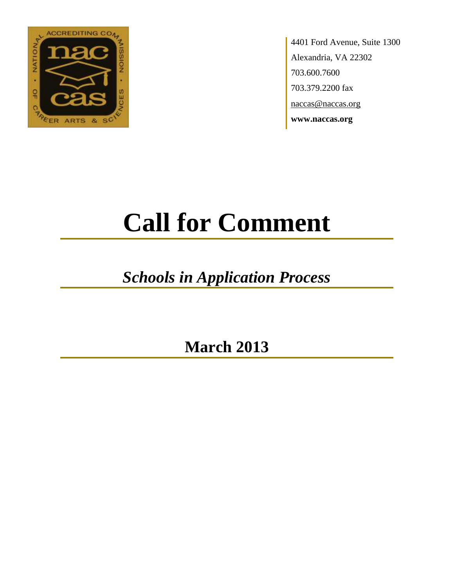

4401 Ford Avenue, Suite 1300 Alexandria, VA 22302 703.600.7600 703.379.2200 fax naccas@naccas.org **www.naccas.org**

# **Call for Comment**

## *Schools in Application Process*

**March 2013**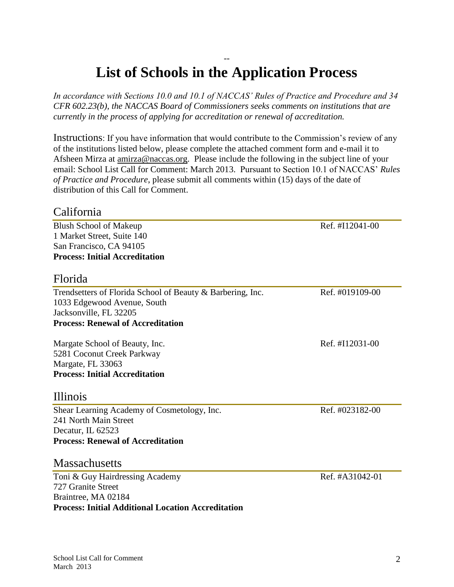#### -- **List of Schools in the Application Process**

*In accordance with Sections 10.0 and 10.1 of NACCAS' Rules of Practice and Procedure and 34 CFR 602.23(b), the NACCAS Board of Commissioners seeks comments on institutions that are currently in the process of applying for accreditation or renewal of accreditation.*

Instructions: If you have information that would contribute to the Commission's review of any of the institutions listed below, please complete the attached comment form and e-mail it to Afsheen Mirza at [amirza@naccas.org.](mailto:amirza@naccas.org) Please include the following in the subject line of your email: School List Call for Comment: March 2013. Pursuant to Section 10.1 of NACCAS' *Rules of Practice and Procedure*, please submit all comments within (15) days of the date of distribution of this Call for Comment.

#### California

Blush School of Makeup Ref. #I12041-00 1 Market Street, Suite 140 San Francisco, CA 94105 **Process: Initial Accreditation**

#### Florida

Trendsetters of Florida School of Beauty & Barbering, Inc. Ref. #019109-00 1033 Edgewood Avenue, South Jacksonville, FL 32205 **Process: Renewal of Accreditation**

Margate School of Beauty, Inc. Ref. #I12031-00 5281 Coconut Creek Parkway Margate, FL 33063 **Process: Initial Accreditation**

#### Illinois

Shear Learning Academy of Cosmetology, Inc. Ref. #023182-00 241 North Main Street Decatur, IL 62523 **Process: Renewal of Accreditation**

#### **Massachusetts**

Toni & Guy Hairdressing Academy Ref. #A31042-01 727 Granite Street Braintree, MA 02184 **Process: Initial Additional Location Accreditation**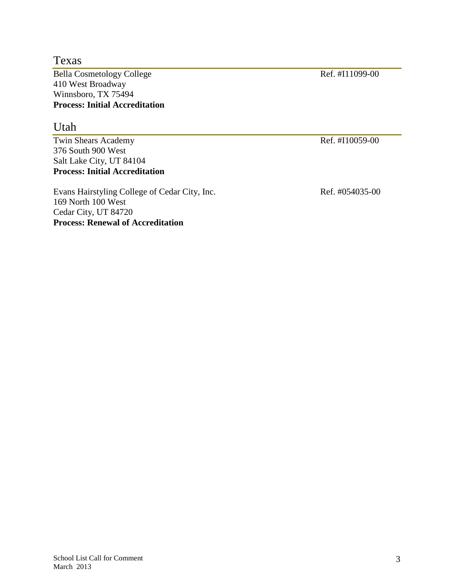Texas

Bella Cosmetology College Ref. #I11099-00 410 West Broadway Winnsboro, TX 75494 **Process: Initial Accreditation**

#### Utah

Twin Shears Academy Ref. #I10059-00 376 South 900 West Salt Lake City, UT 84104 **Process: Initial Accreditation**

Evans Hairstyling College of Cedar City, Inc. Ref. #054035-00 169 North 100 West Cedar City, UT 84720 **Process: Renewal of Accreditation**